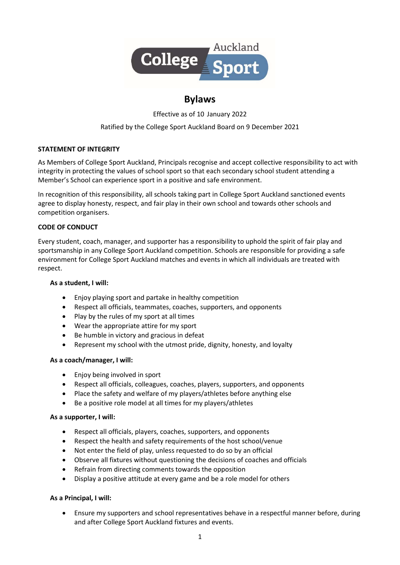

# Bylaws

Effective as of 10 January 2022

# Ratified by the College Sport Auckland Board on 9 December 2021

# STATEMENT OF INTEGRITY

As Members of College Sport Auckland, Principals recognise and accept collective responsibility to act with integrity in protecting the values of school sport so that each secondary school student attending a Member's School can experience sport in a positive and safe environment.

In recognition of this responsibility, all schools taking part in College Sport Auckland sanctioned events agree to display honesty, respect, and fair play in their own school and towards other schools and competition organisers.

### CODE OF CONDUCT

Every student, coach, manager, and supporter has a responsibility to uphold the spirit of fair play and sportsmanship in any College Sport Auckland competition. Schools are responsible for providing a safe environment for College Sport Auckland matches and events in which all individuals are treated with respect.

#### As a student, I will:

- Enjoy playing sport and partake in healthy competition
- Respect all officials, teammates, coaches, supporters, and opponents
- Play by the rules of my sport at all times
- Wear the appropriate attire for my sport
- Be humble in victory and gracious in defeat
- Represent my school with the utmost pride, dignity, honesty, and loyalty

# As a coach/manager, I will:

- Enjoy being involved in sport
- Respect all officials, colleagues, coaches, players, supporters, and opponents
- Place the safety and welfare of my players/athletes before anything else
- Be a positive role model at all times for my players/athletes

# As a supporter, I will:

- Respect all officials, players, coaches, supporters, and opponents
- Respect the health and safety requirements of the host school/venue
- Not enter the field of play, unless requested to do so by an official
- Observe all fixtures without questioning the decisions of coaches and officials
- Refrain from directing comments towards the opposition
- Display a positive attitude at every game and be a role model for others

# As a Principal, I will:

 Ensure my supporters and school representatives behave in a respectful manner before, during and after College Sport Auckland fixtures and events.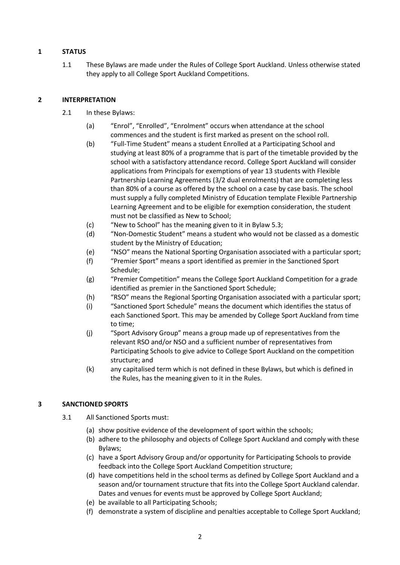# 1 STATUS

1.1 These Bylaws are made under the Rules of College Sport Auckland. Unless otherwise stated they apply to all College Sport Auckland Competitions.

# 2 INTERPRETATION

- 2.1 In these Bylaws:
	- (a) "Enrol", "Enrolled", "Enrolment" occurs when attendance at the school commences and the student is first marked as present on the school roll.
	- (b) "Full-Time Student" means a student Enrolled at a Participating School and studying at least 80% of a programme that is part of the timetable provided by the school with a satisfactory attendance record. College Sport Auckland will consider applications from Principals for exemptions of year 13 students with Flexible Partnership Learning Agreements (3/2 dual enrolments) that are completing less than 80% of a course as offered by the school on a case by case basis. The school must supply a fully completed Ministry of Education template Flexible Partnership Learning Agreement and to be eligible for exemption consideration, the student must not be classified as New to School;
	- (c) "New to School" has the meaning given to it in Bylaw 5.3;
	- (d) "Non-Domestic Student" means a student who would not be classed as a domestic student by the Ministry of Education;
	- (e) "NSO" means the National Sporting Organisation associated with a particular sport;
	- (f) "Premier Sport" means a sport identified as premier in the Sanctioned Sport Schedule;
	- (g) "Premier Competition" means the College Sport Auckland Competition for a grade identified as premier in the Sanctioned Sport Schedule;
	- (h) "RSO" means the Regional Sporting Organisation associated with a particular sport;
	- (i) "Sanctioned Sport Schedule" means the document which identifies the status of each Sanctioned Sport. This may be amended by College Sport Auckland from time to time;
	- (j) "Sport Advisory Group" means a group made up of representatives from the relevant RSO and/or NSO and a sufficient number of representatives from Participating Schools to give advice to College Sport Auckland on the competition structure; and
	- (k) any capitalised term which is not defined in these Bylaws, but which is defined in the Rules, has the meaning given to it in the Rules.

# 3 SANCTIONED SPORTS

- 3.1 All Sanctioned Sports must:
	- (a) show positive evidence of the development of sport within the schools;
	- (b) adhere to the philosophy and objects of College Sport Auckland and comply with these Bylaws;
	- (c) have a Sport Advisory Group and/or opportunity for Participating Schools to provide feedback into the College Sport Auckland Competition structure;
	- (d) have competitions held in the school terms as defined by College Sport Auckland and a season and/or tournament structure that fits into the College Sport Auckland calendar. Dates and venues for events must be approved by College Sport Auckland;
	- (e) be available to all Participating Schools;
	- (f) demonstrate a system of discipline and penalties acceptable to College Sport Auckland;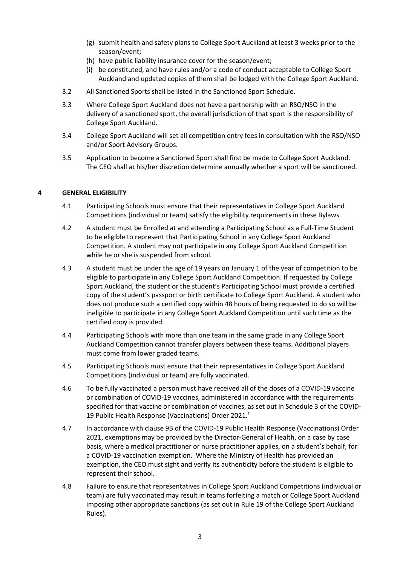- (g) submit health and safety plans to College Sport Auckland at least 3 weeks prior to the season/event;
- (h) have public liability insurance cover for the season/event;
- (i) be constituted, and have rules and/or a code of conduct acceptable to College Sport Auckland and updated copies of them shall be lodged with the College Sport Auckland.
- 3.2 All Sanctioned Sports shall be listed in the Sanctioned Sport Schedule.
- 3.3 Where College Sport Auckland does not have a partnership with an RSO/NSO in the delivery of a sanctioned sport, the overall jurisdiction of that sport is the responsibility of College Sport Auckland.
- 3.4 College Sport Auckland will set all competition entry fees in consultation with the RSO/NSO and/or Sport Advisory Groups.
- 3.5 Application to become a Sanctioned Sport shall first be made to College Sport Auckland. The CEO shall at his/her discretion determine annually whether a sport will be sanctioned.

### 4 GENERAL ELIGIBILITY

- 4.1 Participating Schools must ensure that their representatives in College Sport Auckland Competitions (individual or team) satisfy the eligibility requirements in these Bylaws.
- 4.2 A student must be Enrolled at and attending a Participating School as a Full-Time Student to be eligible to represent that Participating School in any College Sport Auckland Competition. A student may not participate in any College Sport Auckland Competition while he or she is suspended from school.
- 4.3 A student must be under the age of 19 years on January 1 of the year of competition to be eligible to participate in any College Sport Auckland Competition. If requested by College Sport Auckland, the student or the student's Participating School must provide a certified copy of the student's passport or birth certificate to College Sport Auckland. A student who does not produce such a certified copy within 48 hours of being requested to do so will be ineligible to participate in any College Sport Auckland Competition until such time as the certified copy is provided.
- 4.4 Participating Schools with more than one team in the same grade in any College Sport Auckland Competition cannot transfer players between these teams. Additional players must come from lower graded teams.
- 4.5 Participating Schools must ensure that their representatives in College Sport Auckland Competitions (individual or team) are fully vaccinated.
- 4.6 To be fully vaccinated a person must have received all of the doses of a COVID-19 vaccine or combination of COVID-19 vaccines, administered in accordance with the requirements specified for that vaccine or combination of vaccines, as set out in Schedule 3 of the COVID-19 Public Health Response (Vaccinations) Order 2021.<sup>1</sup>
- 4.7 In accordance with clause 9B of the COVID-19 Public Health Response (Vaccinations) Order 2021, exemptions may be provided by the Director-General of Health, on a case by case basis, where a medical practitioner or nurse practitioner applies, on a student's behalf, for a COVID-19 vaccination exemption. Where the Ministry of Health has provided an exemption, the CEO must sight and verify its authenticity before the student is eligible to represent their school.
- 4.8 Failure to ensure that representatives in College Sport Auckland Competitions (individual or team) are fully vaccinated may result in teams forfeiting a match or College Sport Auckland imposing other appropriate sanctions (as set out in Rule 19 of the College Sport Auckland Rules).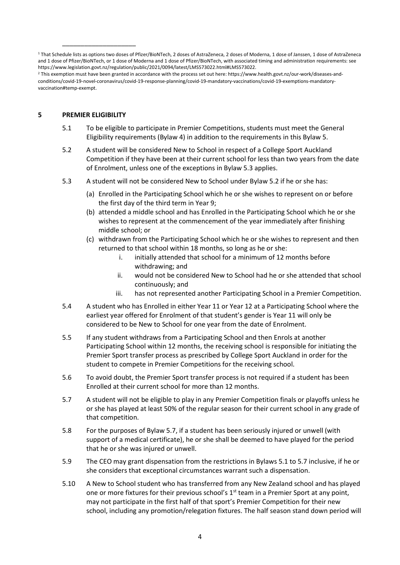1 That Schedule lists as options two doses of Pfizer/BioNTech, 2 doses of AstraZeneca, 2 doses of Moderna, 1 dose of Janssen, 1 dose of AstraZeneca and 1 dose of Pfizer/BioNTech, or 1 dose of Moderna and 1 dose of Pfizer/BioNTech, with associated timing and administration requirements: see https://www.legislation.govt.nz/regulation/public/2021/0094/latest/LMS573022.html#LMS573022.

2 This exemption must have been granted in accordance with the process set out here: https://www.health.govt.nz/our-work/diseases-andconditions/covid-19-novel-coronavirus/covid-19-response-planning/covid-19-mandatory-vaccinations/covid-19-exemptions-mandatoryvaccination#temp-exempt.

### 5 PREMIER ELIGIBILITY

\_\_\_\_\_\_\_\_\_\_\_\_\_\_\_\_\_\_\_\_

- 5.1 To be eligible to participate in Premier Competitions, students must meet the General Eligibility requirements (Bylaw 4) in addition to the requirements in this Bylaw 5.
- 5.2 A student will be considered New to School in respect of a College Sport Auckland Competition if they have been at their current school for less than two years from the date of Enrolment, unless one of the exceptions in Bylaw 5.3 applies.
- 5.3 A student will not be considered New to School under Bylaw 5.2 if he or she has:
	- (a) Enrolled in the Participating School which he or she wishes to represent on or before the first day of the third term in Year 9;
	- (b) attended a middle school and has Enrolled in the Participating School which he or she wishes to represent at the commencement of the year immediately after finishing middle school; or
	- (c) withdrawn from the Participating School which he or she wishes to represent and then returned to that school within 18 months, so long as he or she:
		- i. initially attended that school for a minimum of 12 months before withdrawing; and
		- ii. would not be considered New to School had he or she attended that school continuously; and
		- iii. has not represented another Participating School in a Premier Competition.
- 5.4 A student who has Enrolled in either Year 11 or Year 12 at a Participating School where the earliest year offered for Enrolment of that student's gender is Year 11 will only be considered to be New to School for one year from the date of Enrolment.
- 5.5 If any student withdraws from a Participating School and then Enrols at another Participating School within 12 months, the receiving school is responsible for initiating the Premier Sport transfer process as prescribed by College Sport Auckland in order for the student to compete in Premier Competitions for the receiving school.
- 5.6 To avoid doubt, the Premier Sport transfer process is not required if a student has been Enrolled at their current school for more than 12 months.
- 5.7 A student will not be eligible to play in any Premier Competition finals or playoffs unless he or she has played at least 50% of the regular season for their current school in any grade of that competition.
- 5.8 For the purposes of Bylaw 5.7, if a student has been seriously injured or unwell (with support of a medical certificate), he or she shall be deemed to have played for the period that he or she was injured or unwell.
- 5.9 The CEO may grant dispensation from the restrictions in Bylaws 5.1 to 5.7 inclusive, if he or she considers that exceptional circumstances warrant such a dispensation.
- 5.10 A New to School student who has transferred from any New Zealand school and has played one or more fixtures for their previous school's  $1<sup>st</sup>$  team in a Premier Sport at any point, may not participate in the first half of that sport's Premier Competition for their new school, including any promotion/relegation fixtures. The half season stand down period will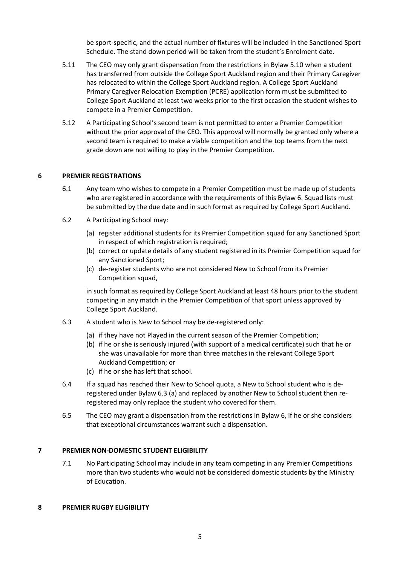be sport-specific, and the actual number of fixtures will be included in the Sanctioned Sport Schedule. The stand down period will be taken from the student's Enrolment date.

- 5.11 The CEO may only grant dispensation from the restrictions in Bylaw 5.10 when a student has transferred from outside the College Sport Auckland region and their Primary Caregiver has relocated to within the College Sport Auckland region. A College Sport Auckland Primary Caregiver Relocation Exemption (PCRE) application form must be submitted to College Sport Auckland at least two weeks prior to the first occasion the student wishes to compete in a Premier Competition.
- 5.12 A Participating School's second team is not permitted to enter a Premier Competition without the prior approval of the CEO. This approval will normally be granted only where a second team is required to make a viable competition and the top teams from the next grade down are not willing to play in the Premier Competition.

#### 6 PREMIER REGISTRATIONS

- 6.1 Any team who wishes to compete in a Premier Competition must be made up of students who are registered in accordance with the requirements of this Bylaw 6. Squad lists must be submitted by the due date and in such format as required by College Sport Auckland.
- 6.2 A Participating School may:
	- (a) register additional students for its Premier Competition squad for any Sanctioned Sport in respect of which registration is required;
	- (b) correct or update details of any student registered in its Premier Competition squad for any Sanctioned Sport;
	- (c) de-register students who are not considered New to School from its Premier Competition squad,

in such format as required by College Sport Auckland at least 48 hours prior to the student competing in any match in the Premier Competition of that sport unless approved by College Sport Auckland.

- 6.3 A student who is New to School may be de-registered only:
	- (a) if they have not Played in the current season of the Premier Competition;
	- (b) if he or she is seriously injured (with support of a medical certificate) such that he or she was unavailable for more than three matches in the relevant College Sport Auckland Competition; or
	- (c) if he or she has left that school.
- 6.4 If a squad has reached their New to School quota, a New to School student who is deregistered under Bylaw 6.3 (a) and replaced by another New to School student then reregistered may only replace the student who covered for them.
- 6.5 The CEO may grant a dispensation from the restrictions in Bylaw 6, if he or she considers that exceptional circumstances warrant such a dispensation.

#### 7 PREMIER NON-DOMESTIC STUDENT ELIGIBILITY

7.1 No Participating School may include in any team competing in any Premier Competitions more than two students who would not be considered domestic students by the Ministry of Education.

#### 8 PREMIER RUGBY ELIGIBILITY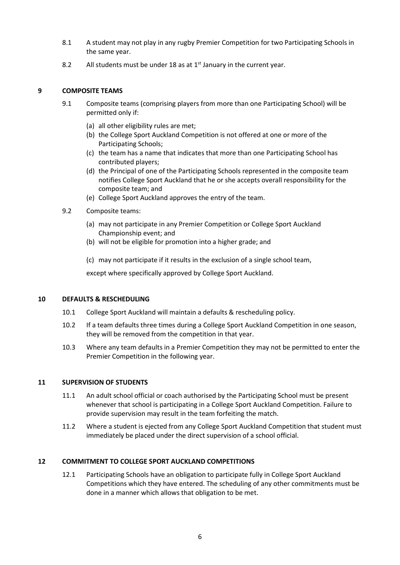- 8.1 A student may not play in any rugby Premier Competition for two Participating Schools in the same year.
- 8.2 All students must be under 18 as at  $1<sup>st</sup>$  January in the current year.

### 9 COMPOSITE TEAMS

- 9.1 Composite teams (comprising players from more than one Participating School) will be permitted only if:
	- (a) all other eligibility rules are met;
	- (b) the College Sport Auckland Competition is not offered at one or more of the Participating Schools;
	- (c) the team has a name that indicates that more than one Participating School has contributed players;
	- (d) the Principal of one of the Participating Schools represented in the composite team notifies College Sport Auckland that he or she accepts overall responsibility for the composite team; and
	- (e) College Sport Auckland approves the entry of the team.
- 9.2 Composite teams:
	- (a) may not participate in any Premier Competition or College Sport Auckland Championship event; and
	- (b) will not be eligible for promotion into a higher grade; and
	- (c) may not participate if it results in the exclusion of a single school team,

except where specifically approved by College Sport Auckland.

#### 10 DEFAULTS & RESCHEDULING

- 10.1 College Sport Auckland will maintain a defaults & rescheduling policy.
- 10.2 If a team defaults three times during a College Sport Auckland Competition in one season, they will be removed from the competition in that year.
- 10.3 Where any team defaults in a Premier Competition they may not be permitted to enter the Premier Competition in the following year.

#### 11 SUPERVISION OF STUDENTS

- 11.1 An adult school official or coach authorised by the Participating School must be present whenever that school is participating in a College Sport Auckland Competition. Failure to provide supervision may result in the team forfeiting the match.
- 11.2 Where a student is ejected from any College Sport Auckland Competition that student must immediately be placed under the direct supervision of a school official.

# 12 COMMITMENT TO COLLEGE SPORT AUCKLAND COMPETITIONS

12.1 Participating Schools have an obligation to participate fully in College Sport Auckland Competitions which they have entered. The scheduling of any other commitments must be done in a manner which allows that obligation to be met.